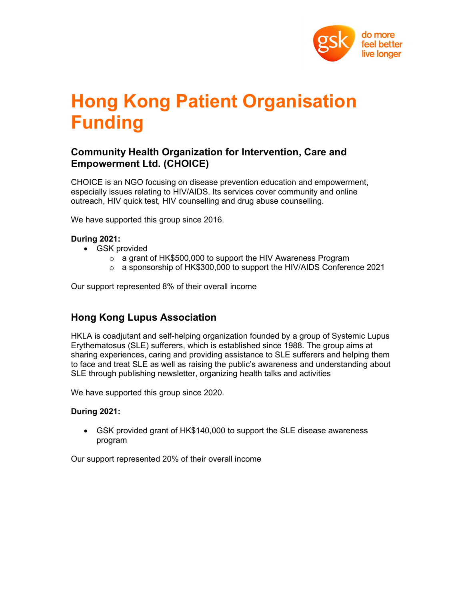

# Hong Kong Patient Organisation Funding

## Community Health Organization for Intervention, Care and Empowerment Ltd. (CHOICE)

CHOICE is an NGO focusing on disease prevention education and empowerment, especially issues relating to HIV/AIDS. Its services cover community and online outreach, HIV quick test, HIV counselling and drug abuse counselling.

We have supported this group since 2016.

## During 2021:

- GSK provided
	- o a grant of HK\$500,000 to support the HIV Awareness Program
	- $\circ$  a sponsorship of HK\$300,000 to support the HIV/AIDS Conference 2021

Our support represented 8% of their overall income

# Hong Kong Lupus Association

HKLA is coadjutant and self-helping organization founded by a group of Systemic Lupus Erythematosus (SLE) sufferers, which is established since 1988. The group aims at sharing experiences, caring and providing assistance to SLE sufferers and helping them to face and treat SLE as well as raising the public's awareness and understanding about SLE through publishing newsletter, organizing health talks and activities

We have supported this group since 2020.

## During 2021:

 GSK provided grant of HK\$140,000 to support the SLE disease awareness program

Our support represented 20% of their overall income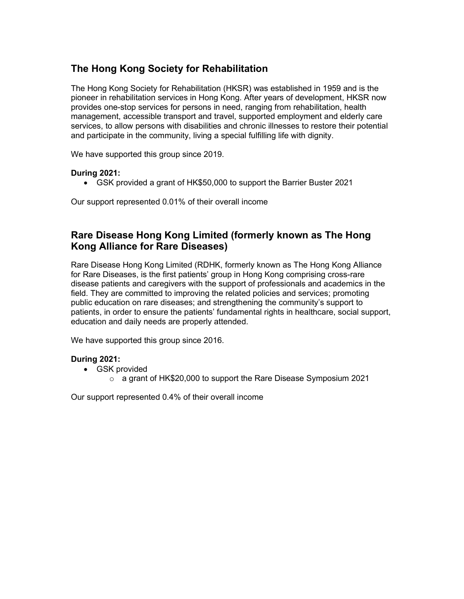# The Hong Kong Society for Rehabilitation

The Hong Kong Society for Rehabilitation (HKSR) was established in 1959 and is the pioneer in rehabilitation services in Hong Kong. After years of development, HKSR now provides one-stop services for persons in need, ranging from rehabilitation, health management, accessible transport and travel, supported employment and elderly care services, to allow persons with disabilities and chronic illnesses to restore their potential and participate in the community, living a special fulfilling life with dignity.

We have supported this group since 2019.

## During 2021:

GSK provided a grant of HK\$50,000 to support the Barrier Buster 2021

Our support represented 0.01% of their overall income

## Rare Disease Hong Kong Limited (formerly known as The Hong Kong Alliance for Rare Diseases)

Rare Disease Hong Kong Limited (RDHK, formerly known as The Hong Kong Alliance for Rare Diseases, is the first patients' group in Hong Kong comprising cross-rare disease patients and caregivers with the support of professionals and academics in the field. They are committed to improving the related policies and services; promoting public education on rare diseases; and strengthening the community's support to patients, in order to ensure the patients' fundamental rights in healthcare, social support, education and daily needs are properly attended.

We have supported this group since 2016.

## During 2021:

- GSK provided
	- o a grant of HK\$20,000 to support the Rare Disease Symposium 2021

Our support represented 0.4% of their overall income